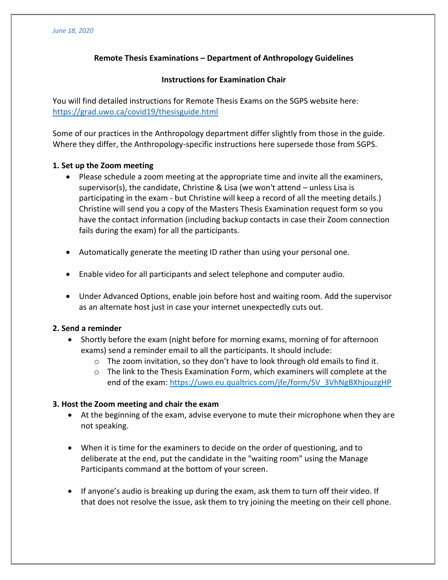# **Remote Thesis Examinations – Department of Anthropology Guidelines**

#### **Instructions for Examination Chair**

You will find detailed instructions for Remote Thesis Exams on the SGPS website here: <https://grad.uwo.ca/covid19/thesisguide.html>

Some of our practices in the Anthropology department differ slightly from those in the guide. Where they differ, the Anthropology-specific instructions here supersede those from SGPS.

#### **1. Set up the Zoom meeting**

- Please schedule a zoom meeting at the appropriate time and invite all the examiners, supervisor(s), the candidate, Christine & Lisa (we won't attend – unless Lisa is participating in the exam - but Christine will keep a record of all the meeting details.) Christine will send you a copy of the Masters Thesis Examination request form so you have the contact information (including backup contacts in case their Zoom connection fails during the exam) for all the participants.
- Automatically generate the meeting ID rather than using your personal one.
- Enable video for all participants and select telephone and computer audio.
- Under Advanced Options, enable join before host and waiting room. Add the supervisor as an alternate host just in case your internet unexpectedly cuts out.

## **2. Send a reminder**

- Shortly before the exam (night before for morning exams, morning of for afternoon exams) send a reminder email to all the participants. It should include:
	- $\circ$  The zoom invitation, so they don't have to look through old emails to find it.
	- $\circ$  The link to the Thesis Examination Form, which examiners will complete at the end of the exam: [https://uwo.eu.qualtrics.com/jfe/form/SV\\_3VhNgBXhjouzgHP](https://uwo.eu.qualtrics.com/jfe/form/SV_3VhNgBXhjouzgHP)

## **3. Host the Zoom meeting and chair the exam**

- At the beginning of the exam, advise everyone to mute their microphone when they are not speaking.
- When it is time for the examiners to decide on the order of questioning, and to deliberate at the end, put the candidate in the "waiting room" using the Manage Participants command at the bottom of your screen.
- If anyone's audio is breaking up during the exam, ask them to turn off their video. If that does not resolve the issue, ask them to try joining the meeting on their cell phone.